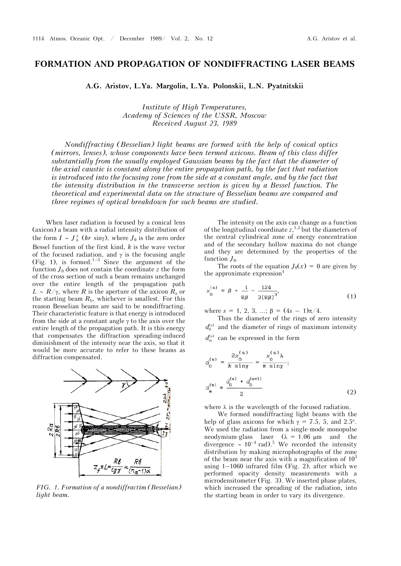## **FORMATION AND PROPAGATION OF NONDIFFRACTING LASER BEAMS**

**A.G. Aristov, L.Ya. Margolin, L.Ya. Polonskii, L.N. Pyatnitskii** 

*Institute of High Temperatures, Academy of Sciences of the USSR, Moscow Received August 23, 1989* 

*Nondiffracting (Besselian) light beams are formed with the help of conical optics (mirrors, lenses), whose components have been termed axicons. Beam of this class differ substantially from the usually employed Gaussian beams by the fact that the diameter of the axial caustic is constant along the entire propagation path, by the fact that radiation is introduced into the focusing zone from the side at a constant angle, and by the fact that the intensity distribution in the transverse section is given by a Bessel function. The theoretical and experimental data on the structure of Besselian beams are compared and three regimes of optical breakdown for such beams are studied.*

When laser radiation is focused by a conical lens (axicon) a beam with a radial intensity distribution of the form  $I \sim J_0^2$  (*kr* siny), where  $J_0$  is the zero order Bessel function of the first kind, *k* is the wave vector of the focused radiation, and  $\gamma$  is the focusing angle (Fig. 1), is formed.<sup>1–3</sup> Since the argument of the function  $J_0$  does not contain the coordinate  $z$  the form of the cross section of such a beam remains unchanged over the entire length of the propagation path  $L \sim R/\gamma$ , where *R* is the aperture of the axicon  $R_a$  or the starting beam  $R<sub>b</sub>$ , whichever is smallest. For this reason Besselian beams are said to be nondiffracting. Their characteristic feature is that energy is introduced from the side at a constant angle  $\gamma$  to the axis over the entire length of the propagation path. It is this energy that compensates the diffraction spreading-induced diminishment of the intensity near the axis, so that it would be more accurate to refer to these beams as diffraction-compensated.



*FIG. 1. Formation of a nondiffractim (Besselian) light beam.*

The intensity on the axis can change as a function of the longitudinal coordinate  $z$ ,<sup>1,2</sup> but the diameters of the central cylindrical zone of energy concentration and of the secondary hollow maxima do not change and they are determined by the properties of the function  $J_0$ .

The roots of the equation  $J_0(x) = 0$  are given by the approximate expression $4$ 

$$
x_0^{(s)} \approx \beta + \frac{1}{8\beta} - \frac{124}{3(8\beta)^3},
$$
 (1)

where  $s = 1, 2, 3, ...; \beta = (4s - 1)\pi/4$ .

Thus the diameter of the rings of zero intensity  $d_0^{(s)}$  and the diameter of rings of maximum intensity  $d_{\rm m}^{(s)}$  can be expressed in the form

$$
d_0^{(s)} = \frac{2x_0^{(s)}}{k \sin \gamma} = \frac{x_0^{(s)}\lambda}{\pi \sin \gamma};
$$
  

$$
d_m^{(s)} = \frac{d_0^{(s)} + d_0^{(s+1)}}{2}
$$
 (2)

where  $\lambda$  is the wavelength of the focused radiation.

We formed nondiffracting light beams with the help of glass axicons for which  $\gamma = 7.5$ , 5, and 2.5°. We used the radiation from a single-mode monopulse neodymium-glass laser  $(\lambda = 1.06 \mu m$  and the divergence  $\sim 10^{-4}$  rad).<sup>5</sup> We recorded the intensity distribution by making microphotographs of the zone of the beam near the axis with a magnification of  $10^3$ using  $1-1060$  infrared film (Fig. 2), after which we performed opacity density measurements with a microdensitometer (Fig. 3). We inserted phase plates, which increased the spreading of the radiation, into the starting beam in order to vary its divergence.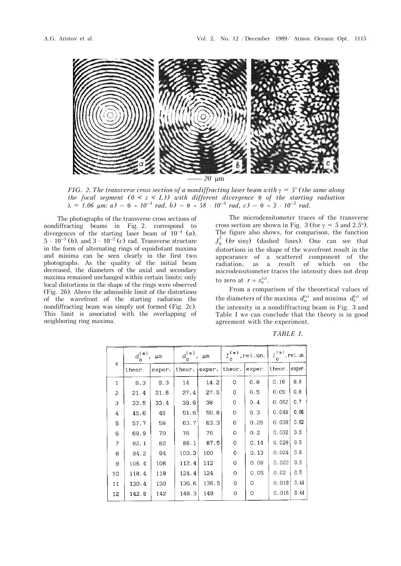

*FIG. 2. The transverse cross section of a nondiffracting laser beam with*  $\gamma = 5^{\circ}$  (*the same along the focal segment*  $(0 < z < L)$ *) with different divergence*  $\theta$  *of the starting radiation*  $\lambda = 1.06$   $\mu$ m: *a*) –  $\theta \sim 10^{-4}$  rad, *b*) –  $\theta \sim 58 \cdot 10^{-4}$  rad, *c*) –  $\theta \sim 3 \cdot 10^{-2}$  rad.

The photographs of the transverse cross sections of nondiffracting beams in Fig. 2. correspond to divergences of the starting laser beam of  $10^{-4}$  (*a*),  $5 \cdot 10^{-3}$  (*b*), and  $3 \cdot 10^{-2}$  (*c*) rad. Transverse structure in the form of alternating rings of equidistant maxima and minima can be seen clearly in the first two photographs. As the quality of the initial beam decreased, the diameters of the axial and secondary maxima remained unchanged within certain limits; only local distortions in the shape of the rings were observed (Fig. 2*b*). Above the admissible limit of the distortions of the wavefront of the starting radiation the nondiffracting beam was simply not formed (Fig. 2*c*). This limit is associated with the overlapping of neighboring ring maxima.

The microdensitometer traces of the transverse cross section are shown in Fig. 3 (for  $\gamma = 5$  and 2.5°). The figure also shows, for comparison, the function  $J_0^2$  (*kr* siny) (dashed lines). One can see that distortions in the shape of the wavefront result in the appearance of a scattered component of the radiation, as a result of which on the microdensitometer traces the intensity does not drop to zero at  $r = x_0^{\text{(s)}}$ .

From a comparison of the theoretical values of the diameters of the maxima  $d_{\rm m}^{(s)}$  and minima  $d_{0}^{(s)}$  of the intensity in a nondiffracting beam in Fig. 3 and Table I we can conclude that the theory is in good agreement with the experiment.

|  | s              | $d_0^{(s)}$<br>$\mu$ m |        | $d_{\rho}^{(\, \mathbf{s}\,) }$<br>μm |        | $I^{(\,s)}$ , rel.un. |            | $I_{\rm s}^{\rm (s)}$ , rel.un. |        |
|--|----------------|------------------------|--------|---------------------------------------|--------|-----------------------|------------|---------------------------------|--------|
|  |                | theor.                 | exper. | theor.                                | exper. | theor.                | $ $ exper. | theor.                          | exper. |
|  | $\mathbf{1}$   | 9.3                    | 9.3    | 14                                    | 14.2   | O                     | 0.8        | 0.16                            | 0.9    |
|  | $\overline{c}$ | 21.4                   | 21.6   | 27.4                                  | 27.5   | 0                     | 0.5        | 0.09                            | 0.8    |
|  | 3              | 33.5                   | 33.4   | 39.6                                  | 38     | 0                     | 0.4        | 0.062                           | 0.7    |
|  | 4              | 45.6                   | 46     | 51.6                                  | 50.8   | 0                     | 0.3        | 0.048                           | 0.66   |
|  | 5              | 57.7                   | 58     | 63.7                                  | 63.3   | 0                     | 0.25       | 0.038                           | 0.62   |
|  | 6              | 69.9                   | 70     | 76                                    | 76     | $\circ$               | 0.2        | 0.032                           | 0.5    |
|  | 7              | 82.1                   | 82     | 88.1                                  | 87.5   | $\circ$               | 0.14       | 0.028                           | 0.5    |
|  | 8              | 94.2                   | 94     | 100.3                                 | 100    | 0                     | 0.13       | 0.024                           | 0.6    |
|  | 9              | 106.4                  | 106    | 112.4                                 | 112    | $\circ$               | 0.08       | 0.022                           | 0.5    |
|  | 10             | 118.4                  | 118    | 124.4                                 | 124    | $\circ$               | 0.05       | 0.02                            | 0.5    |
|  | 11             | 130.4                  | 130    | 136.6                                 | 136.5  | 0                     | $\Omega$   | 0.018                           | 0.44   |
|  | 12             | 142.8                  | 142    | 148.3                                 | 149    | 0                     | O          | 0.016                           | 0.44   |
|  |                |                        |        |                                       |        |                       |            |                                 |        |

*TABLE I.*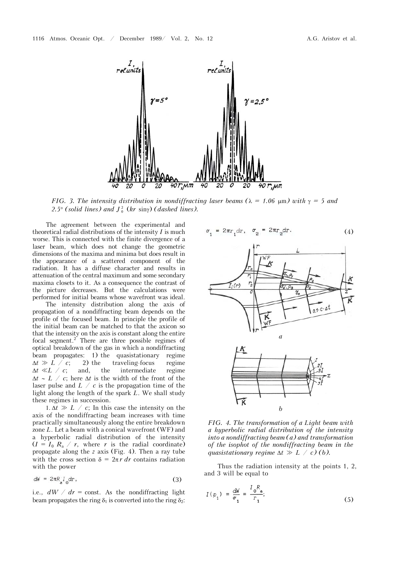

*FIG. 3. The intensity distribution in nondiffracting laser beams (* $\lambda = 1.06$  $\mu$ *m) with*  $\gamma = 5$  *and* 2.5 $\degree$  (solid lines) and  $J^2$ <sub>0</sub> (kr siny) (dashed lines).

The agreement between the experimental and theoretical radial distributions of the intensity *I* is much worse. This is connected with the finite divergence of a laser beam, which does not change the geometric dimensions of the maxima and minima but does result in the appearance of a scattered component of the radiation. It has a diffuse character and results in attenuation of the central maximum and some secondary maxima closets to it. As a consequence the contrast of the picture decreases. But the calculations were performed for initial beams whose wavefront was ideal.

The intensity distribution along the axis of propagation of a nondiffracting beam depends on the profile of the focused beam. In principle the profile of the initial beam can be matched to that the axicon so that the intensity on the axis is constant along the entire focal segment.<sup>2</sup> There are three possible regimes of optical breakdown of the gas in which a nondiffracting beam propagates: 1) the quasistationary regime  $\Delta t \gg L / c$ ; 2) the traveling-focus regime 2) the traveling-focus regime  $\Delta t \ll L$  / *c*; and, the intermediate regime  $\Delta t \sim L$  / *c*; here  $\Delta t$  is the width of the front of the laser pulse and *L* / *c* is the propagation time of the light along the length of the spark *L*. We shall study these regimes in succession.

1.  $\Delta t \gg L / c$ ; In this case the intensity on the axis of the nondiffracting beam increases with time practically simultaneously along the entire breakdown zone *L*. Let a beam with a conical wavefront (WF) and a hyperbolic radial distribution of the intensity  $(I = I_0 R_a / r$ , where *r* is the radial coordinate) propagate along the *z* axis (Fig. 4). Then a ray tube with the cross section  $\delta = 2\pi r dr$  contains radiation with the power

$$
dW = 2\pi R I_0 dr, \qquad (3)
$$

i.e.,  $dW / dr = \text{const.}$  As the nondiffracting light beam propagates the ring  $\delta_1$  is converted into the ring  $\delta_2$ :

$$
\sigma_1 = 2\pi r_1 dr, \quad \sigma_2 = 2\pi r_2 dr. \tag{4}
$$

 $\sigma = 2\pi r dr$ ,  $\sigma = 2\pi r dr$ .



*FIG. 4. The transformation of a Light beam with a hyperbolic radial distribution of the intensity into a nondiffracting beam (a) and transformation of the isophot of the nondiffracting beam in the quasistationary regime*  $\Delta t \gg L / c$  *(b).* 

Thus the radiation intensity at the points 1, 2, and 3 will be equal to

$$
I(p_1) = \frac{dW}{\sigma_1} = \frac{I_0 R_a}{r_1};
$$
\n(5)